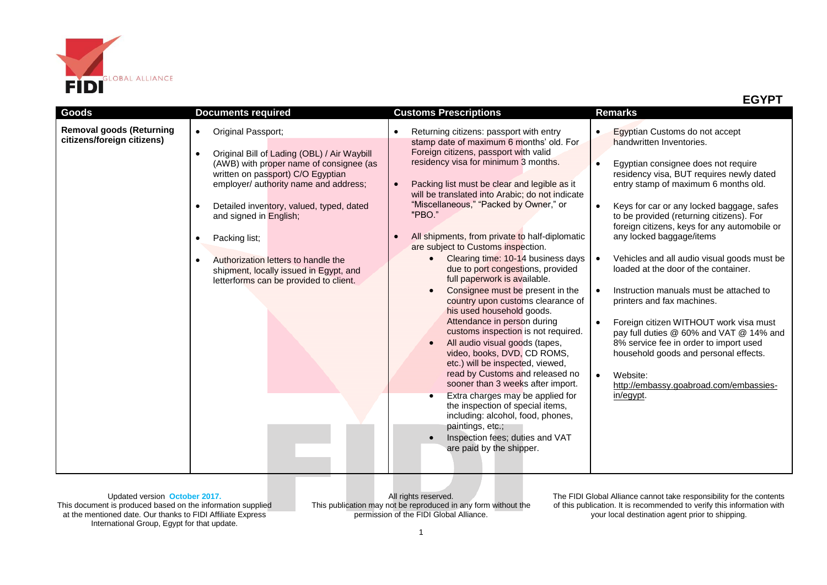

|                                                               |                                                                                                                                                                                                                                                                                                                                                                                                                                                          |                                                                                                                                                                                                                                                                                                                                                                                                                                                                                                                                                                                                                                                                                                                                                                                                                                                                                                                                                                                                                                                                                                                                                          | <b>EGYPT</b>                                                                                                                                                                                                                                                                                                                                                                                                                                                                                                                                                                                                                                                                                                                                                                                                                                        |
|---------------------------------------------------------------|----------------------------------------------------------------------------------------------------------------------------------------------------------------------------------------------------------------------------------------------------------------------------------------------------------------------------------------------------------------------------------------------------------------------------------------------------------|----------------------------------------------------------------------------------------------------------------------------------------------------------------------------------------------------------------------------------------------------------------------------------------------------------------------------------------------------------------------------------------------------------------------------------------------------------------------------------------------------------------------------------------------------------------------------------------------------------------------------------------------------------------------------------------------------------------------------------------------------------------------------------------------------------------------------------------------------------------------------------------------------------------------------------------------------------------------------------------------------------------------------------------------------------------------------------------------------------------------------------------------------------|-----------------------------------------------------------------------------------------------------------------------------------------------------------------------------------------------------------------------------------------------------------------------------------------------------------------------------------------------------------------------------------------------------------------------------------------------------------------------------------------------------------------------------------------------------------------------------------------------------------------------------------------------------------------------------------------------------------------------------------------------------------------------------------------------------------------------------------------------------|
| Goods                                                         | <b>Documents required</b>                                                                                                                                                                                                                                                                                                                                                                                                                                | <b>Customs Prescriptions</b>                                                                                                                                                                                                                                                                                                                                                                                                                                                                                                                                                                                                                                                                                                                                                                                                                                                                                                                                                                                                                                                                                                                             | <b>Remarks</b>                                                                                                                                                                                                                                                                                                                                                                                                                                                                                                                                                                                                                                                                                                                                                                                                                                      |
| <b>Removal goods (Returning</b><br>citizens/foreign citizens) | Original Passport;<br>$\bullet$<br>Original Bill of Lading (OBL) / Air Waybill<br>$\bullet$<br>(AWB) with proper name of consignee (as<br>written on passport) C/O Egyptian<br>employer/ authority name and address;<br>Detailed inventory, valued, typed, dated<br>O<br>and signed in English;<br>Packing list;<br>Authorization letters to handle the<br>$\bullet$<br>shipment, locally issued in Egypt, and<br>letterforms can be provided to client. | Returning citizens: passport with entry<br>stamp date of maximum 6 months' old. For<br>Foreign citizens, passport with valid<br>residency visa for minimum 3 months.<br>Packing list must be clear and legible as it<br>will be translated into Arabic; do not indicate<br>"Miscellaneous," "Packed by Owner," or<br>"PBO."<br>All shipments, from private to half-diplomatic<br>are subject to Customs inspection.<br>Clearing time: 10-14 business days<br>$\bullet$<br>due to port congestions, provided<br>full paperwork is available.<br>Consignee must be present in the<br>$\bullet$<br>country upon customs clearance of<br>his used household goods.<br>Attendance in person during<br>customs inspection is not required.<br>All audio visual goods (tapes,<br>$\bullet$<br>video, books, DVD, CD ROMS,<br>etc.) will be inspected, viewed,<br>read by Customs and released no<br>sooner than 3 weeks after import.<br>Extra charges may be applied for<br>$\bullet$<br>the inspection of special items,<br>including: alcohol, food, phones,<br>paintings, etc.;<br>Inspection fees; duties and VAT<br>$\bullet$<br>are paid by the shipper. | Egyptian Customs do not accept<br>$\bullet$<br>handwritten Inventories.<br>Egyptian consignee does not require<br>$\bullet$<br>residency visa, BUT requires newly dated<br>entry stamp of maximum 6 months old.<br>Keys for car or any locked baggage, safes<br>$\bullet$<br>to be provided (returning citizens). For<br>foreign citizens, keys for any automobile or<br>any locked baggage/items<br>Vehicles and all audio visual goods must be<br>loaded at the door of the container.<br>Instruction manuals must be attached to<br>$\bullet$<br>printers and fax machines.<br>Foreign citizen WITHOUT work visa must<br>$\bullet$<br>pay full duties @ 60% and VAT @ 14% and<br>8% service fee in order to import used<br>household goods and personal effects.<br>$\bullet$<br>Website:<br>http://embassy.goabroad.com/embassies-<br>in/egypt. |

All rights reserved. This publication may not be reproduced in any form without the permission of the FIDI Global Alliance.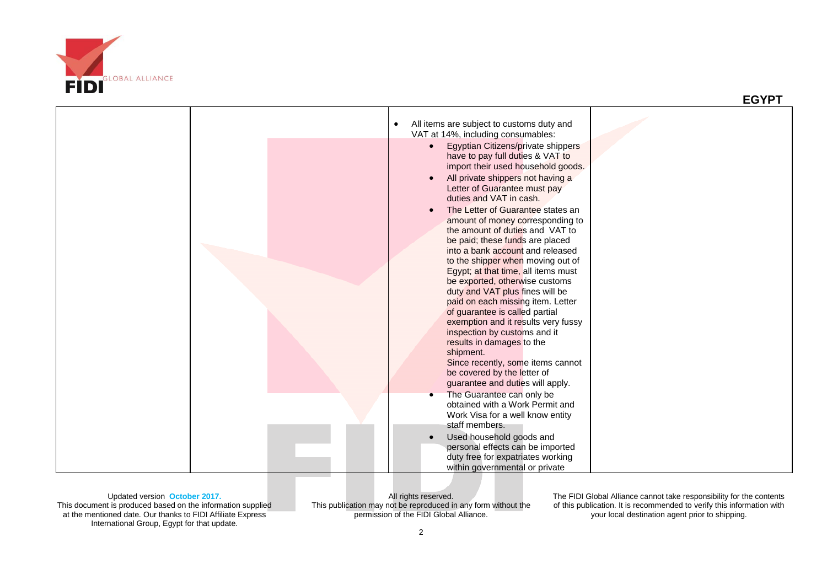

|  | All items are subject to customs duty and<br>$\bullet$                                                                                                                                                                                                                                                                                                                                                                                                                                                                                                                                                                                                                                                                                                                                                                                                                                                                                                                                     |  |
|--|--------------------------------------------------------------------------------------------------------------------------------------------------------------------------------------------------------------------------------------------------------------------------------------------------------------------------------------------------------------------------------------------------------------------------------------------------------------------------------------------------------------------------------------------------------------------------------------------------------------------------------------------------------------------------------------------------------------------------------------------------------------------------------------------------------------------------------------------------------------------------------------------------------------------------------------------------------------------------------------------|--|
|  | VAT at 14%, including consumables:<br>Egyptian Citizens/private shippers<br>have to pay full duties & VAT to<br>import their used household goods.<br>All private shippers not having a<br>Letter of Guarantee must pay<br>duties and VAT in cash.<br>The Letter of Guarantee states an<br>amount of money corresponding to<br>the amount of duties and VAT to<br>be paid; these funds are placed<br>into a bank account and released<br>to the shipper when moving out of<br>Egypt; at that time, all items must<br>be exported, otherwise customs<br>duty and VAT plus fines will be<br>paid on each missing item. Letter<br>of guarantee is called partial<br>exemption and it results very fussy<br>inspection by customs and it<br>results in damages to the<br>shipment.<br>Since recently, some items cannot<br>be covered by the letter of<br>guarantee and duties will apply.<br>The Guarantee can only be<br>obtained with a Work Permit and<br>Work Visa for a well know entity |  |
|  | staff members.<br>Used household goods and                                                                                                                                                                                                                                                                                                                                                                                                                                                                                                                                                                                                                                                                                                                                                                                                                                                                                                                                                 |  |
|  | personal effects can be imported<br>duty free for expatriates working<br>within governmental or private                                                                                                                                                                                                                                                                                                                                                                                                                                                                                                                                                                                                                                                                                                                                                                                                                                                                                    |  |

Updated version **October 2017.** This document is produced based on the information supplied at the mentioned date. Our thanks to FIDI Affiliate Express International Group, Egypt for that update.

All rights reserved. This publication may not be reproduced in any form without the permission of the FIDI Global Alliance.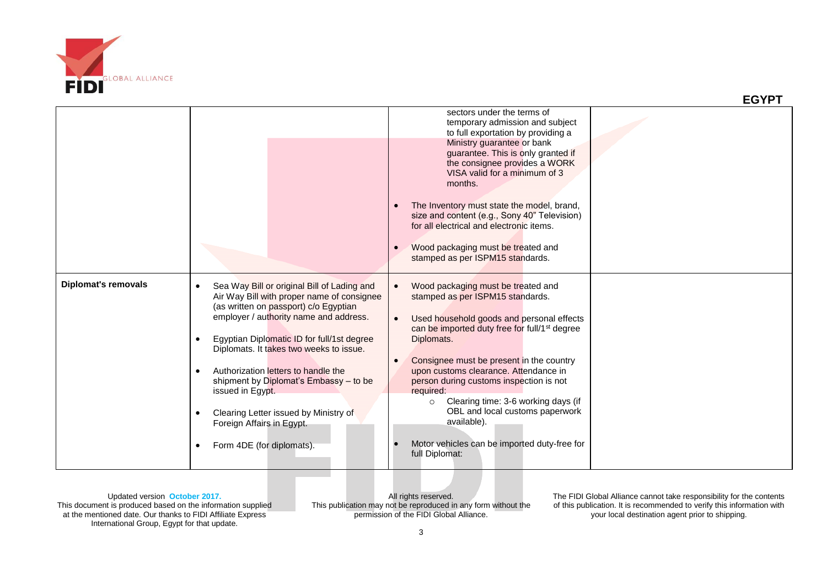

|                     |                                                                                                                                                                                                                                                                                                                                                                                                                                                                               | sectors under the terms of<br>temporary admission and subject<br>to full exportation by providing a<br>Ministry guarantee or bank<br>guarantee. This is only granted if<br>the consignee provides a WORK<br>VISA valid for a minimum of 3<br>months.<br>The Inventory must state the model, brand,<br>size and content (e.g., Sony 40" Television)<br>for all electrical and electronic items.<br>Wood packaging must be treated and                                                                              |  |
|---------------------|-------------------------------------------------------------------------------------------------------------------------------------------------------------------------------------------------------------------------------------------------------------------------------------------------------------------------------------------------------------------------------------------------------------------------------------------------------------------------------|-------------------------------------------------------------------------------------------------------------------------------------------------------------------------------------------------------------------------------------------------------------------------------------------------------------------------------------------------------------------------------------------------------------------------------------------------------------------------------------------------------------------|--|
|                     |                                                                                                                                                                                                                                                                                                                                                                                                                                                                               | stamped as per ISPM15 standards.                                                                                                                                                                                                                                                                                                                                                                                                                                                                                  |  |
| Diplomat's removals | Sea Way Bill or original Bill of Lading and<br>Air Way Bill with proper name of consignee<br>(as written on passport) c/o Egyptian<br>employer / authority name and address.<br>Egyptian Diplomatic ID for full/1st degree<br>Diplomats. It takes two weeks to issue.<br>Authorization letters to handle the<br>shipment by Diplomat's Embassy - to be<br>issued in Egypt.<br>Clearing Letter issued by Ministry of<br>Foreign Affairs in Egypt.<br>Form 4DE (for diplomats). | Wood packaging must be treated and<br>stamped as per ISPM15 standards.<br>Used household goods and personal effects<br>can be imported duty free for full/1 <sup>st</sup> degree<br>Diplomats.<br>Consignee must be present in the country<br>upon customs clearance. Attendance in<br>person during customs inspection is not<br>required:<br>Clearing time: 3-6 working days (if<br>$\circ$<br>OBL and local customs paperwork<br>available).<br>Motor vehicles can be imported duty-free for<br>full Diplomat: |  |

All rights reserved. This publication may not be reproduced in any form without the permission of the FIDI Global Alliance.

The FIDI Global Alliance cannot take responsibility for the contents of this publication. It is recommended to verify this information with your local destination agent prior to shipping.

 **EGYPT**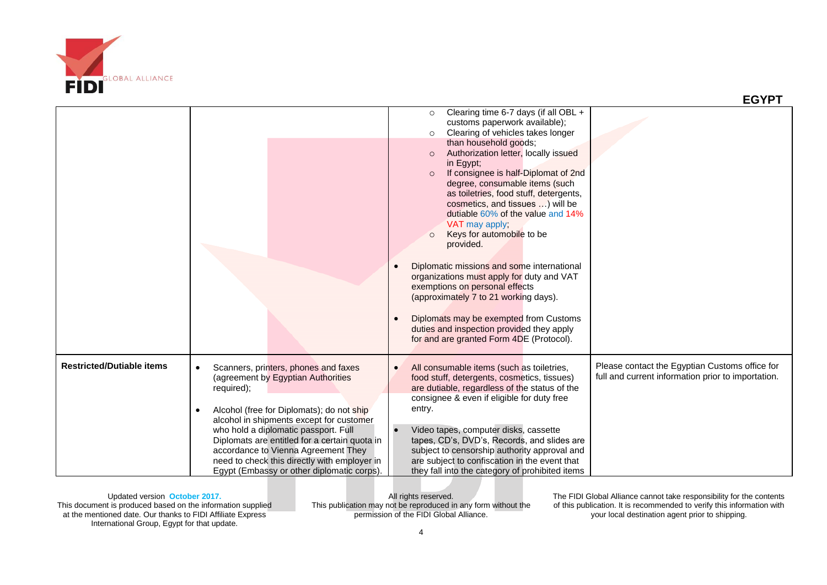

|                                  |                                                                                                                                                                                                                                                                                                                                  |                                                                                                                                                                                                                                                                                                                                                                                                 | <b>EGYPT</b>                                                                                         |
|----------------------------------|----------------------------------------------------------------------------------------------------------------------------------------------------------------------------------------------------------------------------------------------------------------------------------------------------------------------------------|-------------------------------------------------------------------------------------------------------------------------------------------------------------------------------------------------------------------------------------------------------------------------------------------------------------------------------------------------------------------------------------------------|------------------------------------------------------------------------------------------------------|
|                                  |                                                                                                                                                                                                                                                                                                                                  | Clearing time 6-7 days (if all OBL $+$<br>$\circ$<br>customs paperwork available);<br>Clearing of vehicles takes longer<br>$\circ$<br>than household goods;<br>Authorization letter, locally issued<br>$\circ$<br>in Egypt;<br>If consignee is half-Diplomat of 2nd<br>$\circ$<br>degree, consumable items (such<br>as toiletries, food stuff, detergents,<br>cosmetics, and tissues  ) will be |                                                                                                      |
|                                  |                                                                                                                                                                                                                                                                                                                                  | dutiable 60% of the value and 14%<br>VAT may apply:<br>Keys for automobile to be<br>$\circ$<br>provided.<br>Diplomatic missions and some international<br>organizations must apply for duty and VAT<br>exemptions on personal effects<br>(approximately 7 to 21 working days).                                                                                                                  |                                                                                                      |
|                                  |                                                                                                                                                                                                                                                                                                                                  | Diplomats may be exempted from Customs<br>duties and inspection provided they apply<br>for and are granted Form 4DE (Protocol).                                                                                                                                                                                                                                                                 |                                                                                                      |
| <b>Restricted/Dutiable items</b> | Scanners, printers, phones and faxes<br>$\bullet$<br>(agreement by Egyptian Authorities<br>required);                                                                                                                                                                                                                            | All consumable items (such as toiletries,<br>food stuff, detergents, cosmetics, tissues)<br>are dutiable, regardless of the status of the<br>consignee & even if eligible for duty free                                                                                                                                                                                                         | Please contact the Egyptian Customs office for<br>full and current information prior to importation. |
|                                  | Alcohol (free for Diplomats); do not ship<br>$\bullet$<br>alcohol in shipments except for customer<br>who hold a diplomatic passport. Full<br>Diplomats are entitled for a certain quota in<br>accordance to Vienna Agreement They<br>need to check this directly with employer in<br>Egypt (Embassy or other diplomatic corps). | entry.<br>Video tapes, computer disks, cassette<br>tapes, CD's, DVD's, Records, and slides are<br>subject to censorship authority approval and<br>are subject to confiscation in the event that<br>they fall into the category of prohibited items                                                                                                                                              |                                                                                                      |

All rights reserved. This publication may not be reproduced in any form without the permission of the FIDI Global Alliance.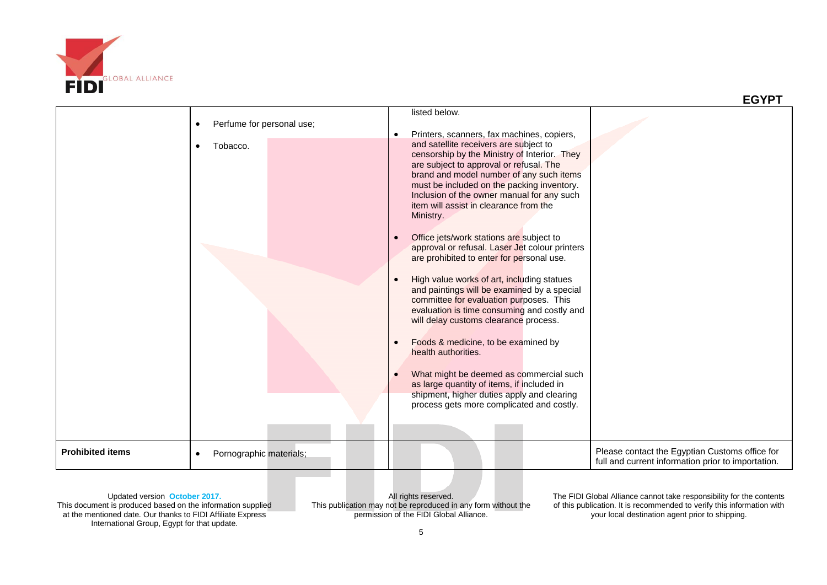

|                         | Perfume for personal use;<br>Tobacco.<br>$\bullet$ | listed below.<br>Printers, scanners, fax machines, copiers,<br>$\bullet$<br>and satellite receivers are subject to<br>censorship by the Ministry of Interior. They<br>are subject to approval or refusal. The<br>brand and model number of any such items<br>must be included on the packing inventory.<br>Inclusion of the owner manual for any such<br>item will assist in clearance from the<br>Ministry.<br>Office jets/work stations are subject to<br>$\bullet$<br>approval or refusal. Laser Jet colour printers<br>are prohibited to enter for personal use.<br>High value works of art, including statues<br>and paintings will be examined by a special<br>committee for evaluation purposes. This<br>evaluation is time consuming and costly and<br>will delay customs clearance process.<br>Foods & medicine, to be examined by<br>$\bullet$<br>health authorities.<br>What might be deemed as commercial such<br>as large quantity of items, if included in<br>shipment, higher duties apply and clearing<br>process gets more complicated and costly. |                                                                                                      |
|-------------------------|----------------------------------------------------|---------------------------------------------------------------------------------------------------------------------------------------------------------------------------------------------------------------------------------------------------------------------------------------------------------------------------------------------------------------------------------------------------------------------------------------------------------------------------------------------------------------------------------------------------------------------------------------------------------------------------------------------------------------------------------------------------------------------------------------------------------------------------------------------------------------------------------------------------------------------------------------------------------------------------------------------------------------------------------------------------------------------------------------------------------------------|------------------------------------------------------------------------------------------------------|
| <b>Prohibited items</b> | Pornographic materials;<br>$\bullet$               |                                                                                                                                                                                                                                                                                                                                                                                                                                                                                                                                                                                                                                                                                                                                                                                                                                                                                                                                                                                                                                                                     | Please contact the Egyptian Customs office for<br>full and current information prior to importation. |

Updated version **October 2017.** This document is produced based on the information supplied at the mentioned date. Our thanks to FIDI Affiliate Express International Group, Egypt for that update.

All rights reserved. This publication may not be reproduced in any form without the permission of the FIDI Global Alliance.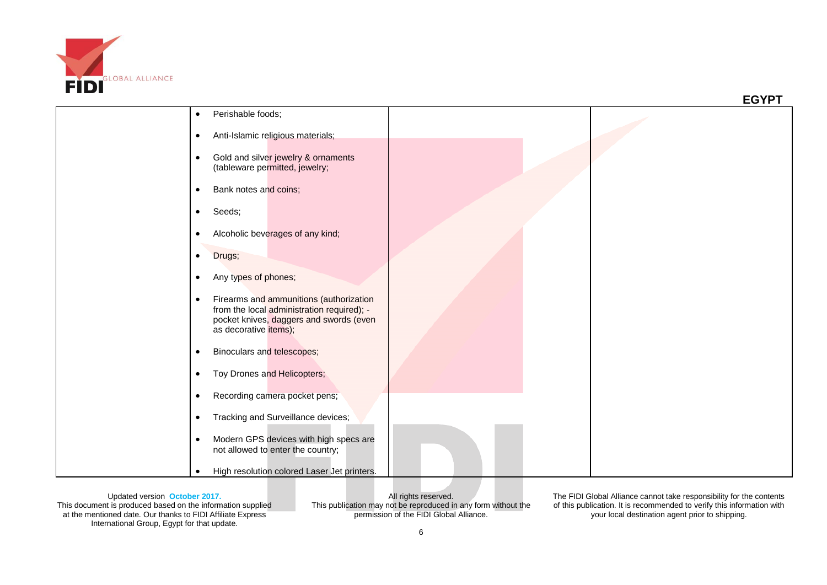

|                                                                                                                                                                        | <b>EGYPT</b> |
|------------------------------------------------------------------------------------------------------------------------------------------------------------------------|--------------|
| Perishable foods;<br>$\bullet$                                                                                                                                         |              |
| Anti-Islamic religious materials;<br>$\bullet$                                                                                                                         |              |
| Gold and silver jewelry & ornaments<br>$\bullet$<br>(tableware permitted, jewelry;                                                                                     |              |
| Bank notes and coins;<br>$\bullet$                                                                                                                                     |              |
| Seeds;<br>$\bullet$                                                                                                                                                    |              |
| Alcoholic beverages of any kind;<br>$\bullet$                                                                                                                          |              |
| Drugs;<br>$\bullet$                                                                                                                                                    |              |
| Any types of phones;<br>$\bullet$                                                                                                                                      |              |
| Firearms and ammunitions (authorization<br>$\bullet$<br>from the local administration required); -<br>pocket knives, daggers and swords (even<br>as decorative items); |              |
| Binoculars and telescopes;<br>$\bullet$                                                                                                                                |              |
| Toy Drones and Helicopters;<br>$\bullet$                                                                                                                               |              |
| Recording camera pocket pens;<br>$\bullet$                                                                                                                             |              |
| Tracking and Surveillance devices;<br>$\bullet$                                                                                                                        |              |
| Modern GPS devices with high specs are<br>$\bullet$<br>not allowed to enter the country;                                                                               |              |
| High resolution colored Laser Jet printers.<br>$\bullet$                                                                                                               |              |

All rights reserved. This publication may not be reproduced in any form without the permission of the FIDI Global Alliance.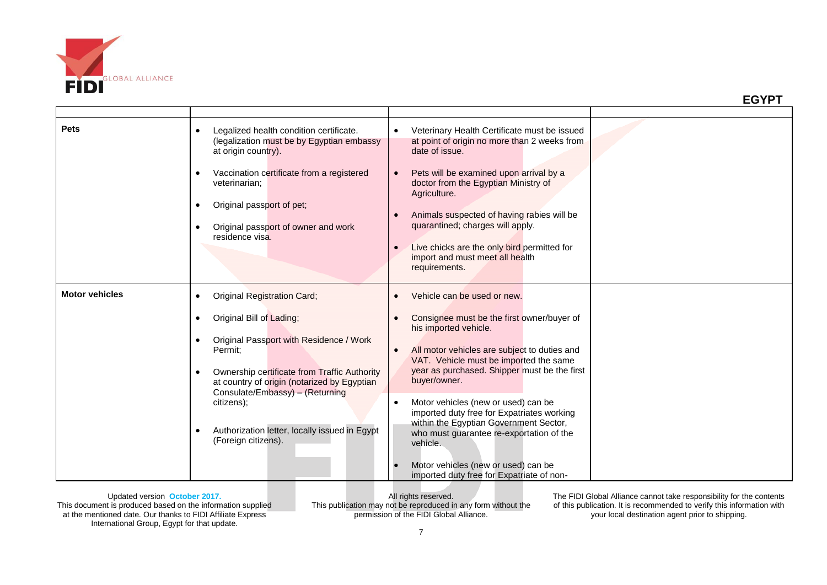

| <b>Pets</b>           | Legalized health condition certificate.<br>$\bullet$<br>(legalization must be by Egyptian embassy<br>at origin country).<br>Vaccination certificate from a registered<br>$\bullet$<br>veterinarian;<br>Original passport of pet;<br>$\bullet$<br>Original passport of owner and work<br>$\bullet$<br>residence visa.                                                                                          | Veterinary Health Certificate must be issued<br>at point of origin no more than 2 weeks from<br>date of issue.<br>Pets will be examined upon arrival by a<br>doctor from the Egyptian Ministry of<br>Agriculture.<br>Animals suspected of having rabies will be<br>quarantined; charges will apply.<br>Live chicks are the only bird permitted for<br>$\bullet$<br>import and must meet all health<br>requirements.                                                                                                                     |  |
|-----------------------|---------------------------------------------------------------------------------------------------------------------------------------------------------------------------------------------------------------------------------------------------------------------------------------------------------------------------------------------------------------------------------------------------------------|-----------------------------------------------------------------------------------------------------------------------------------------------------------------------------------------------------------------------------------------------------------------------------------------------------------------------------------------------------------------------------------------------------------------------------------------------------------------------------------------------------------------------------------------|--|
| <b>Motor vehicles</b> | <b>Original Registration Card;</b><br>$\bullet$<br>Original Bill of Lading;<br>$\bullet$<br>Original Passport with Residence / Work<br>$\bullet$<br>Permit:<br>Ownership certificate from Traffic Authority<br>$\bullet$<br>at country of origin (notarized by Egyptian<br>Consulate/Embassy) - (Returning<br>citizens);<br>Authorization letter, locally issued in Egypt<br>$\bullet$<br>(Foreign citizens). | Vehicle can be used or new.<br>Consignee must be the first owner/buyer of<br>his imported vehicle.<br>All motor vehicles are subject to duties and<br>VAT. Vehicle must be imported the same<br>year as purchased. Shipper must be the first<br>buyer/owner.<br>Motor vehicles (new or used) can be<br>imported duty free for Expatriates working<br>within the Egyptian Government Sector,<br>who must guarantee re-exportation of the<br>vehicle.<br>Motor vehicles (new or used) can be<br>imported duty free for Expatriate of non- |  |

All rights reserved. This publication may not be reproduced in any form without the permission of the FIDI Global Alliance.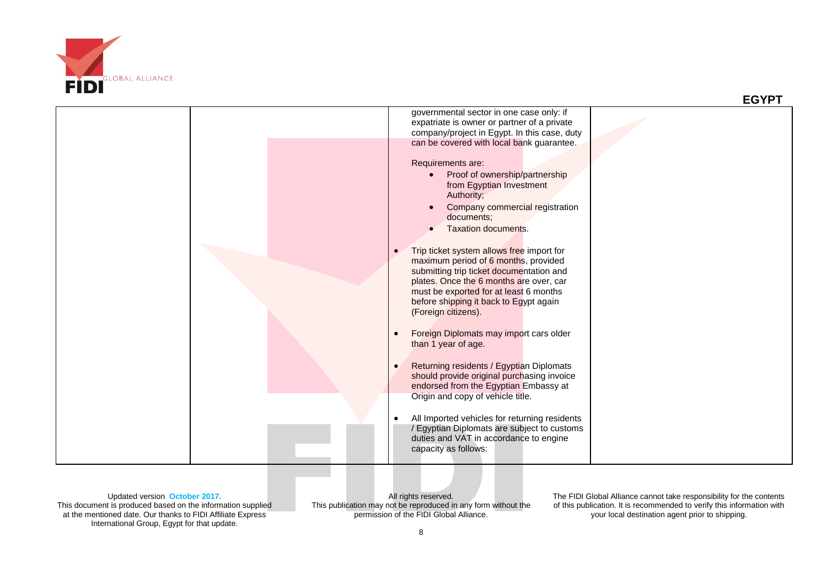



Updated version **October 2017.** This document is produced based on the information supplied at the mentioned date. Our thanks to FIDI Affiliate Express International Group, Egypt for that update.

All rights reserved. This publication may not be reproduced in any form without the permission of the FIDI Global Alliance.